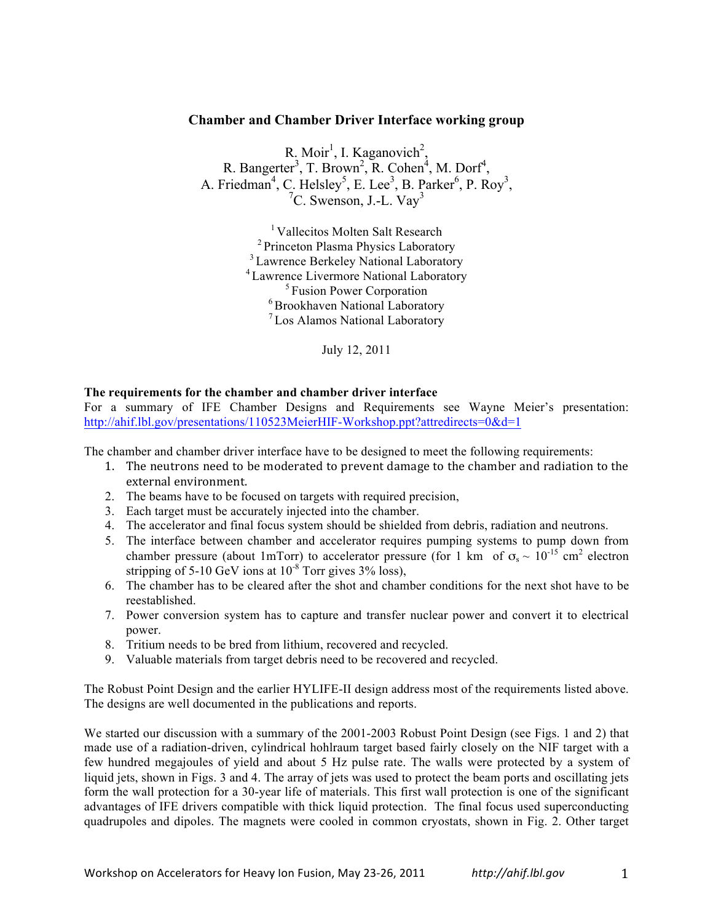# **Chamber and Chamber Driver Interface working group**

R. Moir<sup>1</sup>, I. Kaganovich<sup>2</sup>, R. Bangerter<sup>3</sup>, T. Brown<sup>2</sup>, R. Cohen<sup>4</sup>, M. Dorf<sup>4</sup>, A. Friedman<sup>4</sup>, C. Helsley<sup>5</sup>, E. Lee<sup>3</sup>, B. Parker<sup>6</sup>, P. Roy<sup>3</sup>,  ${}^{7}C$ . Swenson, J.-L. Vav<sup>3</sup>

> <sup>1</sup> Vallecitos Molten Salt Research 2 Princeton Plasma Physics Laboratory <sup>3</sup> Lawrence Berkeley National Laboratory 4 Lawrence Livermore National Laboratory 5 Fusion Power Corporation 6 Brookhaven National Laboratory 7 Los Alamos National Laboratory

> > July 12, 2011

## **The requirements for the chamber and chamber driver interface**

For a summary of IFE Chamber Designs and Requirements see Wayne Meier's presentation: http://ahif.lbl.gov/presentations/110523MeierHIF-Workshop.ppt?attredirects=0&d=1

The chamber and chamber driver interface have to be designed to meet the following requirements:

- 1. The neutrons need to be moderated to prevent damage to the chamber and radiation to the external environment.
- 2. The beams have to be focused on targets with required precision,
- 3. Each target must be accurately injected into the chamber.
- 4. The accelerator and final focus system should be shielded from debris, radiation and neutrons.
- 5. The interface between chamber and accelerator requires pumping systems to pump down from chamber pressure (about 1mTorr) to accelerator pressure (for 1 km of  $\sigma_s \sim 10^{-15}$  cm<sup>2</sup> electron stripping of 5-10 GeV ions at  $10^{-8}$  Torr gives 3% loss),
- 6. The chamber has to be cleared after the shot and chamber conditions for the next shot have to be reestablished.
- 7. Power conversion system has to capture and transfer nuclear power and convert it to electrical power.
- 8. Tritium needs to be bred from lithium, recovered and recycled.
- 9. Valuable materials from target debris need to be recovered and recycled.

The Robust Point Design and the earlier HYLIFE-II design address most of the requirements listed above. The designs are well documented in the publications and reports.

We started our discussion with a summary of the 2001-2003 Robust Point Design (see Figs. 1 and 2) that made use of a radiation-driven, cylindrical hohlraum target based fairly closely on the NIF target with a few hundred megajoules of yield and about 5 Hz pulse rate. The walls were protected by a system of liquid jets, shown in Figs. 3 and 4. The array of jets was used to protect the beam ports and oscillating jets form the wall protection for a 30-year life of materials. This first wall protection is one of the significant advantages of IFE drivers compatible with thick liquid protection. The final focus used superconducting quadrupoles and dipoles. The magnets were cooled in common cryostats, shown in Fig. 2. Other target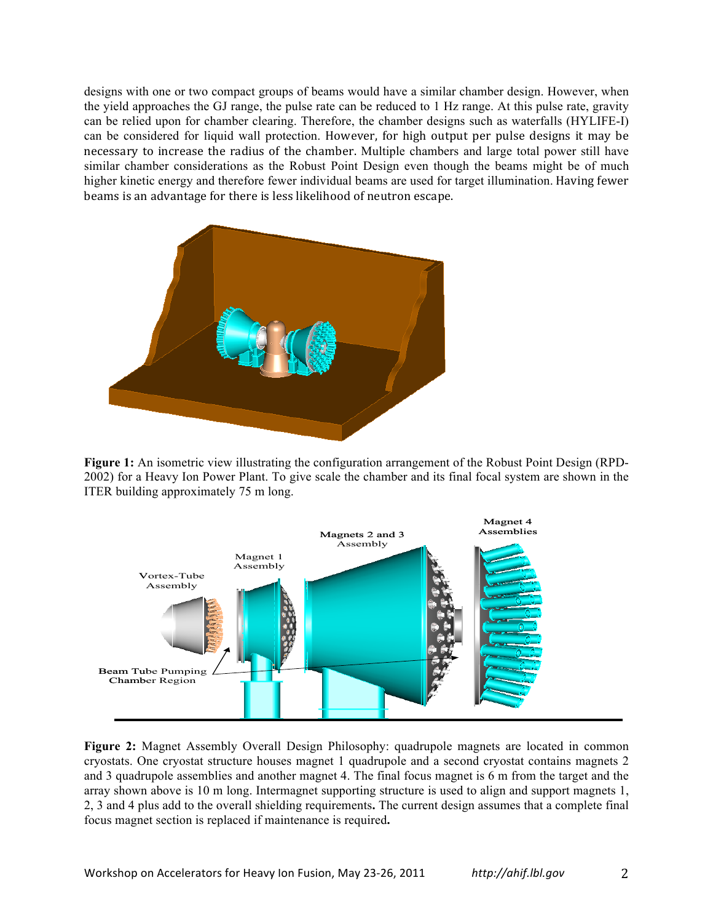designs with one or two compact groups of beams would have a similar chamber design. However, when the yield approaches the GJ range, the pulse rate can be reduced to 1 Hz range. At this pulse rate, gravity can be relied upon for chamber clearing. Therefore, the chamber designs such as waterfalls (HYLIFE-I) can be considered for liquid wall protection. However, for high output per pulse designs it may be necessary to increase the radius of the chamber. Multiple chambers and large total power still have similar chamber considerations as the Robust Point Design even though the beams might be of much higher kinetic energy and therefore fewer individual beams are used for target illumination. Having fewer beams is an advantage for there is less likelihood of neutron escape.



**Figure 1:** An isometric view illustrating the configuration arrangement of the Robust Point Design (RPD-2002) for a Heavy Ion Power Plant. To give scale the chamber and its final focal system are shown in the ITER building approximately 75 m long.



**Figure 2:** Magnet Assembly Overall Design Philosophy: quadrupole magnets are located in common cryostats. One cryostat structure houses magnet 1 quadrupole and a second cryostat contains magnets 2 and 3 quadrupole assemblies and another magnet 4. The final focus magnet is 6 m from the target and the array shown above is 10 m long. Intermagnet supporting structure is used to align and support magnets 1, 2, 3 and 4 plus add to the overall shielding requirements**.** The current design assumes that a complete final focus magnet section is replaced if maintenance is required**.**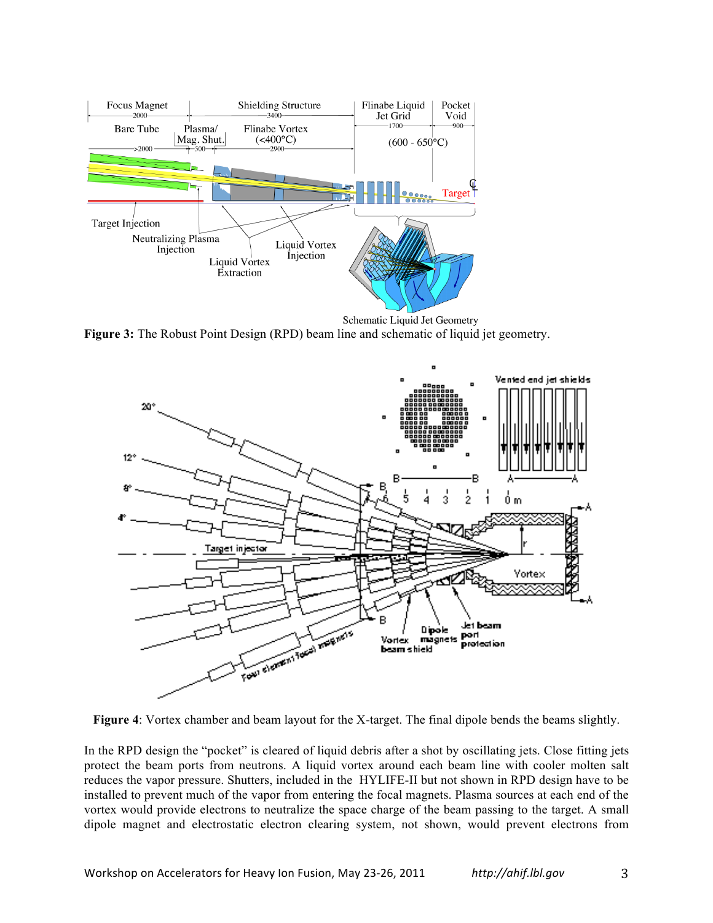

Schematic Liquid Jet Geometry **Figure 3:** The Robust Point Design (RPD) beam line and schematic of liquid jet geometry.



**Figure 4**: Vortex chamber and beam layout for the X-target. The final dipole bends the beams slightly.

In the RPD design the "pocket" is cleared of liquid debris after a shot by oscillating jets. Close fitting jets protect the beam ports from neutrons. A liquid vortex around each beam line with cooler molten salt reduces the vapor pressure. Shutters, included in the HYLIFE-II but not shown in RPD design have to be installed to prevent much of the vapor from entering the focal magnets. Plasma sources at each end of the vortex would provide electrons to neutralize the space charge of the beam passing to the target. A small dipole magnet and electrostatic electron clearing system, not shown, would prevent electrons from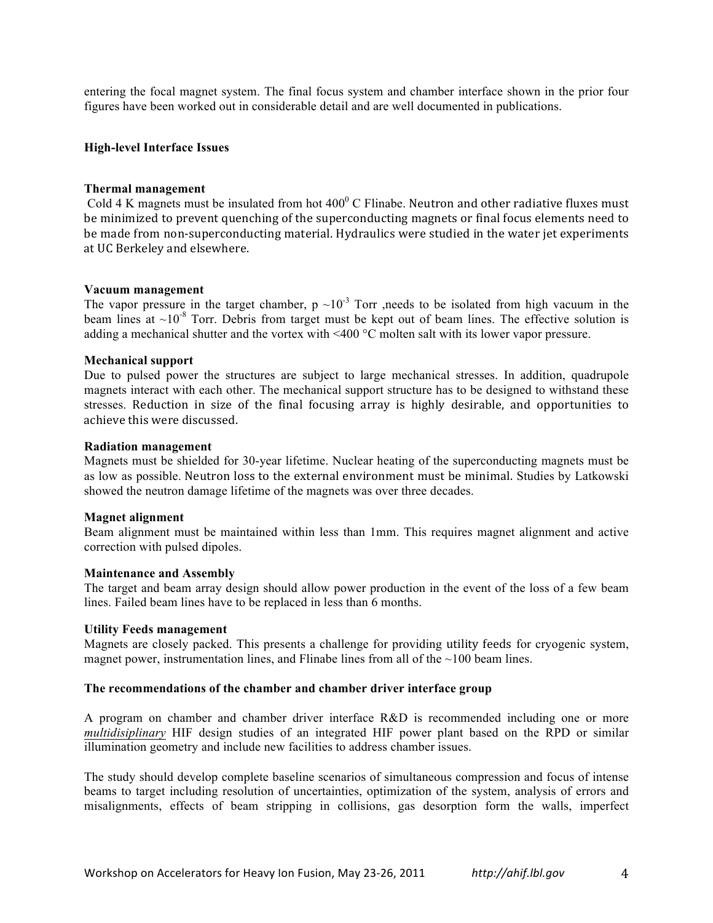entering the focal magnet system. The final focus system and chamber interface shown in the prior four figures have been worked out in considerable detail and are well documented in publications.

### **High-level Interface Issues**

#### **Thermal management**

Cold 4 K magnets must be insulated from hot  $400^{\circ}$  C Flinabe. Neutron and other radiative fluxes must be minimized to prevent quenching of the superconducting magnets or final focus elements need to be made from non-superconducting material. Hydraulics were studied in the water jet experiments at UC Berkeley and elsewhere.

## **Vacuum management**

The vapor pressure in the target chamber, p  $\sim 10^{-3}$  Torr ,needs to be isolated from high vacuum in the beam lines at  $\sim 10^{-8}$  Torr. Debris from target must be kept out of beam lines. The effective solution is adding a mechanical shutter and the vortex with <400 °C molten salt with its lower vapor pressure.

## **Mechanical support**

Due to pulsed power the structures are subject to large mechanical stresses. In addition, quadrupole magnets interact with each other. The mechanical support structure has to be designed to withstand these stresses. Reduction in size of the final focusing array is highly desirable, and opportunities to achieve this were discussed.

#### **Radiation management**

Magnets must be shielded for 30-year lifetime. Nuclear heating of the superconducting magnets must be as low as possible. Neutron loss to the external environment must be minimal. Studies by Latkowski showed the neutron damage lifetime of the magnets was over three decades.

#### **Magnet alignment**

Beam alignment must be maintained within less than 1mm. This requires magnet alignment and active correction with pulsed dipoles.

#### **Maintenance and Assembly**

The target and beam array design should allow power production in the event of the loss of a few beam lines. Failed beam lines have to be replaced in less than 6 months.

#### **Utility Feeds management**

Magnets are closely packed. This presents a challenge for providing utility feeds for cryogenic system, magnet power, instrumentation lines, and Flinabe lines from all of the  $\sim$ 100 beam lines.

#### **The recommendations of the chamber and chamber driver interface group**

A program on chamber and chamber driver interface R&D is recommended including one or more *multidisiplinary* HIF design studies of an integrated HIF power plant based on the RPD or similar illumination geometry and include new facilities to address chamber issues.

The study should develop complete baseline scenarios of simultaneous compression and focus of intense beams to target including resolution of uncertainties, optimization of the system, analysis of errors and misalignments, effects of beam stripping in collisions, gas desorption form the walls, imperfect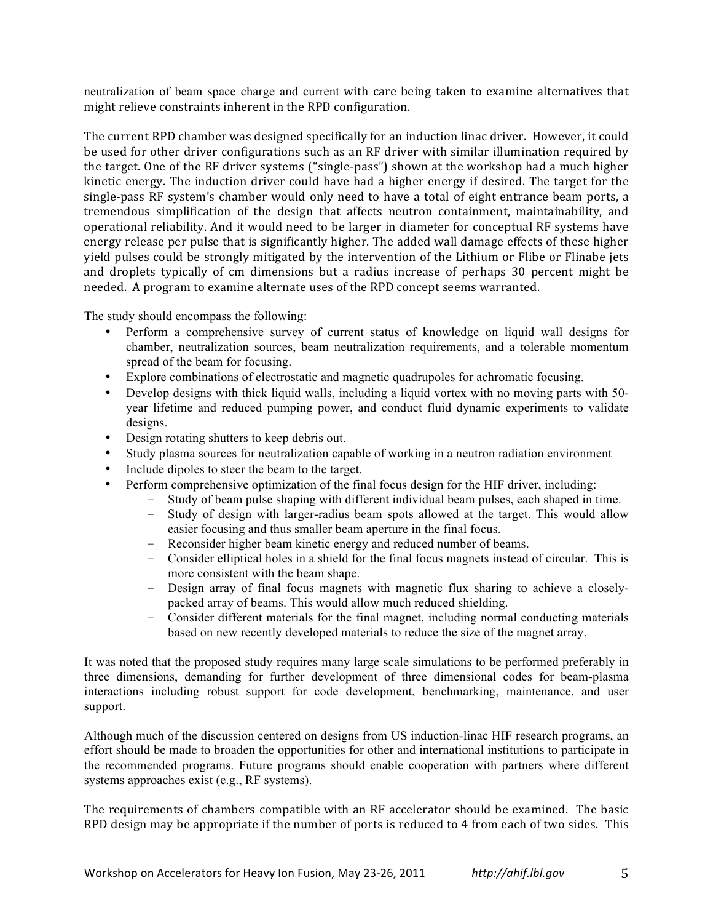neutralization of beam space charge and current with care being taken to examine alternatives that might relieve constraints inherent in the RPD configuration.

The current RPD chamber was designed specifically for an induction linac driver. However, it could be used for other driver configurations such as an RF driver with similar illumination required by the target. One of the RF driver systems ("single-pass") shown at the workshop had a much higher kinetic energy. The induction driver could have had a higher energy if desired. The target for the single-pass RF system's chamber would only need to have a total of eight entrance beam ports, a tremendous simplification of the design that affects neutron containment, maintainability, and operational reliability. And it would need to be larger in diameter for conceptual RF systems have energy release per pulse that is significantly higher. The added wall damage effects of these higher yield pulses could be strongly mitigated by the intervention of the Lithium or Flibe or Flinabe jets and droplets typically of cm dimensions but a radius increase of perhaps 30 percent might be" needed. A program to examine alternate uses of the RPD concept seems warranted.

The study should encompass the following:

- Perform a comprehensive survey of current status of knowledge on liquid wall designs for chamber, neutralization sources, beam neutralization requirements, and a tolerable momentum spread of the beam for focusing.
- Explore combinations of electrostatic and magnetic quadrupoles for achromatic focusing.
- Develop designs with thick liquid walls, including a liquid vortex with no moving parts with 50 year lifetime and reduced pumping power, and conduct fluid dynamic experiments to validate designs.
- Design rotating shutters to keep debris out.
- Study plasma sources for neutralization capable of working in a neutron radiation environment
- Include dipoles to steer the beam to the target.
- Perform comprehensive optimization of the final focus design for the HIF driver, including:
	- Study of beam pulse shaping with different individual beam pulses, each shaped in time.
	- Study of design with larger-radius beam spots allowed at the target. This would allow easier focusing and thus smaller beam aperture in the final focus.
	- Reconsider higher beam kinetic energy and reduced number of beams.
	- Consider elliptical holes in a shield for the final focus magnets instead of circular. This is more consistent with the beam shape.
	- Design array of final focus magnets with magnetic flux sharing to achieve a closelypacked array of beams. This would allow much reduced shielding.
	- Consider different materials for the final magnet, including normal conducting materials based on new recently developed materials to reduce the size of the magnet array.

It was noted that the proposed study requires many large scale simulations to be performed preferably in three dimensions, demanding for further development of three dimensional codes for beam-plasma interactions including robust support for code development, benchmarking, maintenance, and user support.

Although much of the discussion centered on designs from US induction-linac HIF research programs, an effort should be made to broaden the opportunities for other and international institutions to participate in the recommended programs. Future programs should enable cooperation with partners where different systems approaches exist (e.g., RF systems).

The requirements of chambers compatible with an RF accelerator should be examined. The basic RPD design may be appropriate if the number of ports is reduced to 4 from each of two sides. This